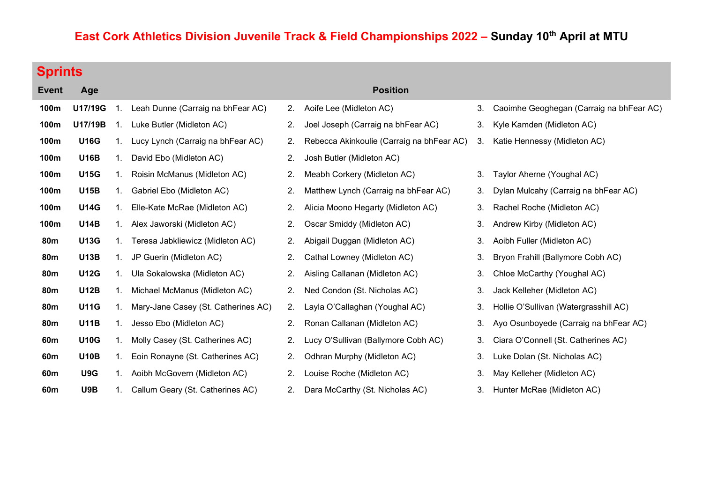## East Cork Athletics Division Juvenile Track & Field Championships 2022 - Sunday 10<sup>th</sup> April at MTU

| ı<br>ı. |  |  |  |  |
|---------|--|--|--|--|
|---------|--|--|--|--|

| <b>Event</b>    | Age         |    |                                     |    | <b>Position</b>                           |    |                                          |
|-----------------|-------------|----|-------------------------------------|----|-------------------------------------------|----|------------------------------------------|
| 100m            | U17/19G     | 1. | Leah Dunne (Carraig na bhFear AC)   | 2. | Aoife Lee (Midleton AC)                   | 3. | Caoimhe Geoghegan (Carraig na bhFear AC) |
| 100m            | U17/19B     | 1. | Luke Butler (Midleton AC)           | 2. | Joel Joseph (Carraig na bhFear AC)        | 3. | Kyle Kamden (Midleton AC)                |
| 100m            | <b>U16G</b> | 1. | Lucy Lynch (Carraig na bhFear AC)   | 2. | Rebecca Akinkoulie (Carraig na bhFear AC) | 3. | Katie Hennessy (Midleton AC)             |
| 100m            | <b>U16B</b> | 1. | David Ebo (Midleton AC)             | 2. | Josh Butler (Midleton AC)                 |    |                                          |
| 100m            | <b>U15G</b> | 1. | Roisin McManus (Midleton AC)        | 2. | Meabh Corkery (Midleton AC)               | 3. | Taylor Aherne (Youghal AC)               |
| 100m            | <b>U15B</b> | 1. | Gabriel Ebo (Midleton AC)           | 2. | Matthew Lynch (Carraig na bhFear AC)      | 3. | Dylan Mulcahy (Carraig na bhFear AC)     |
| 100m            | <b>U14G</b> | 1. | Elle-Kate McRae (Midleton AC)       | 2. | Alicia Moono Hegarty (Midleton AC)        | 3. | Rachel Roche (Midleton AC)               |
| 100m            | <b>U14B</b> | 1. | Alex Jaworski (Midleton AC)         | 2. | Oscar Smiddy (Midleton AC)                | 3. | Andrew Kirby (Midleton AC)               |
| <b>80m</b>      | <b>U13G</b> | 1. | Teresa Jabkliewicz (Midleton AC)    | 2. | Abigail Duggan (Midleton AC)              | 3. | Aoibh Fuller (Midleton AC)               |
| <b>80m</b>      | <b>U13B</b> | 1. | JP Guerin (Midleton AC)             | 2. | Cathal Lowney (Midleton AC)               | 3. | Bryon Frahill (Ballymore Cobh AC)        |
| <b>80m</b>      | <b>U12G</b> | 1. | Ula Sokalowska (Midleton AC)        | 2. | Aisling Callanan (Midleton AC)            | 3. | Chloe McCarthy (Youghal AC)              |
| <b>80m</b>      | <b>U12B</b> | 1. | Michael McManus (Midleton AC)       | 2. | Ned Condon (St. Nicholas AC)              | 3. | Jack Kelleher (Midleton AC)              |
| <b>80m</b>      | <b>U11G</b> | 1. | Mary-Jane Casey (St. Catherines AC) | 2. | Layla O'Callaghan (Youghal AC)            | 3. | Hollie O'Sullivan (Watergrasshill AC)    |
| <b>80m</b>      | <b>U11B</b> | 1. | Jesso Ebo (Midleton AC)             | 2. | Ronan Callanan (Midleton AC)              | 3. | Ayo Osunboyede (Carraig na bhFear AC)    |
| 60 <sub>m</sub> | <b>U10G</b> | 1. | Molly Casey (St. Catherines AC)     | 2. | Lucy O'Sullivan (Ballymore Cobh AC)       | 3. | Ciara O'Connell (St. Catherines AC)      |
| 60m             | <b>U10B</b> | 1. | Eoin Ronayne (St. Catherines AC)    | 2. | Odhran Murphy (Midleton AC)               | 3. | Luke Dolan (St. Nicholas AC)             |
| 60m             | U9G         | 1. | Aoibh McGovern (Midleton AC)        | 2. | Louise Roche (Midleton AC)                | 3. | May Kelleher (Midleton AC)               |
| 60m             | U9B         | 1. | Callum Geary (St. Catherines AC)    | 2. | Dara McCarthy (St. Nicholas AC)           | 3. | Hunter McRae (Midleton AC)               |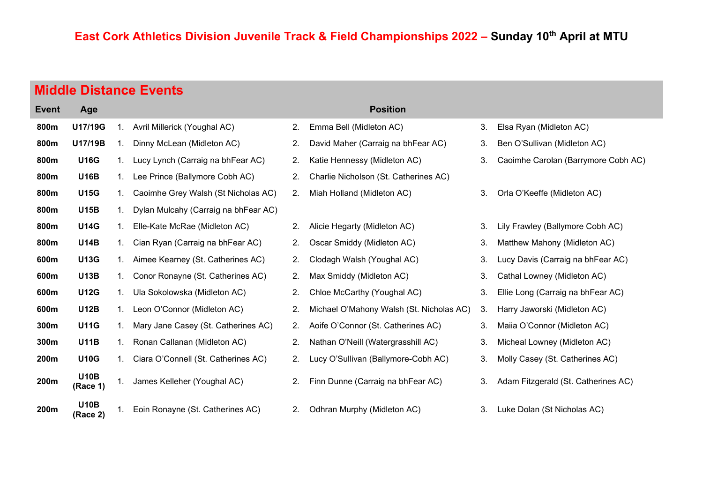| <b>Middle Distance Events</b> |  |
|-------------------------------|--|
|-------------------------------|--|

| <b>Event</b> | Age                     |    |                                      |    | <b>Position</b>             |
|--------------|-------------------------|----|--------------------------------------|----|-----------------------------|
| 800m         | U17/19G                 | 1. | Avril Millerick (Youghal AC)         | 2. | Emma Bell (Midleton AC)     |
| 800m         | U17/19B                 | 1. | Dinny McLean (Midleton AC)           | 2. | David Maher (Carraig na bl  |
| 800m         | <b>U16G</b>             | 1. | Lucy Lynch (Carraig na bhFear AC)    | 2. | Katie Hennessy (Midleton /  |
| 800m         | <b>U16B</b>             | 1. | Lee Prince (Ballymore Cobh AC)       | 2. | Charlie Nicholson (St. Cath |
| 800m         | <b>U15G</b>             | 1. | Caoimhe Grey Walsh (St Nicholas AC)  | 2. | Miah Holland (Midleton AC   |
| 800m         | <b>U15B</b>             | 1. | Dylan Mulcahy (Carraig na bhFear AC) |    |                             |
| 800m         | <b>U14G</b>             | 1. | Elle-Kate McRae (Midleton AC)        | 2. | Alicie Hegarty (Midleton AC |
| 800m         | U14B                    | 1. | Cian Ryan (Carraig na bhFear AC)     | 2. | Oscar Smiddy (Midleton A0   |
| 600m         | <b>U13G</b>             | 1. | Aimee Kearney (St. Catherines AC)    | 2. | Clodagh Walsh (Youghal A    |
| 600m         | <b>U13B</b>             | 1. | Conor Ronayne (St. Catherines AC)    | 2. | Max Smiddy (Midleton AC)    |
| 600m         | <b>U12G</b>             | 1. | Ula Sokolowska (Midleton AC)         | 2. | Chloe McCarthy (Youghal     |
| 600m         | <b>U12B</b>             | 1. | Leon O'Connor (Midleton AC)          | 2. | Michael O'Mahony Walsh (    |
| 300m         | <b>U11G</b>             | 1. | Mary Jane Casey (St. Catherines AC)  | 2. | Aoife O'Connor (St. Cather  |
| 300m         | <b>U11B</b>             | 1. | Ronan Callanan (Midleton AC)         | 2. | Nathan O'Neill (Watergrass  |
| 200m         | <b>U10G</b>             | 1. | Ciara O'Connell (St. Catherines AC)  | 2. | Lucy O'Sullivan (Ballymore  |
| 200m         | <b>U10B</b><br>(Race 1) | 1. | James Kelleher (Youghal AC)          | 2. | Finn Dunne (Carraig na bh   |
| 200m         | <b>U10B</b><br>(Race 2) | 1. | Eoin Ronayne (St. Catherines AC)     | 2. | Odhran Murphy (Midleton /   |

- 
- 
- 2. Charlie Nicholson (St. Catherines AC)
- 800m U15G 1. Caoimhe Grey Walsh (St Nicholas AC) 2. Miah Holland (Midleton AC) 3. Orla O'Keeffe (Midleton AC)
	-
	-
	-
	-
	-
	- 2. Michael O'Mahony Walsh (St. Nicholas AC) 3. Harry Jaworski (Midleton AC)
	-
	- 2. Nathan O'Neill (Watergrasshill AC) 3. Micheal Lowney (Midleton AC)
	- 2. Lucy O'Sullivan (Ballymore-Cobh AC) 3. Molly Casey (St. Catherines AC)
	-
	- 2. Odhran Murphy (Midleton AC) 2. Luke Dolan (St Nicholas AC)

#### 2. Emma Bell (Midleton AC) 2. Elsa Ryan (Midleton AC)

- 2. David Maher (Carraig na bhFear AC) 3. Ben O'Sullivan (Midleton AC)
- 8. Katie Hennessy (Midleton AC) 2. Caoimhe Carolan (Barrymore Cobh AC)
	-
- 2. Alicie Hegarty (Midleton AC) 2. Lily Frawley (Ballymore Cobh AC)
- 2. Oscar Smiddy (Midleton AC) 2. Matthew Mahony (Midleton AC)
- 2. Clodagh Walsh (Youghal AC) 3. Lucy Davis (Carraig na bhFear AC)
- 2. Max Smiddy (Midleton AC) 2. Cathal Lowney (Midleton AC)
- 2. Chloe McCarthy (Youghal AC) 3. Ellie Long (Carraig na bhFear AC)
	-
- 2. Aoife O'Connor (St. Catherines AC) 2. Maiia O'Connor (Midleton AC)
	-
	-
- 2. Finn Dunne (Carraig na bhFear AC) 2. Adam Fitzgerald (St. Catherines AC)
	-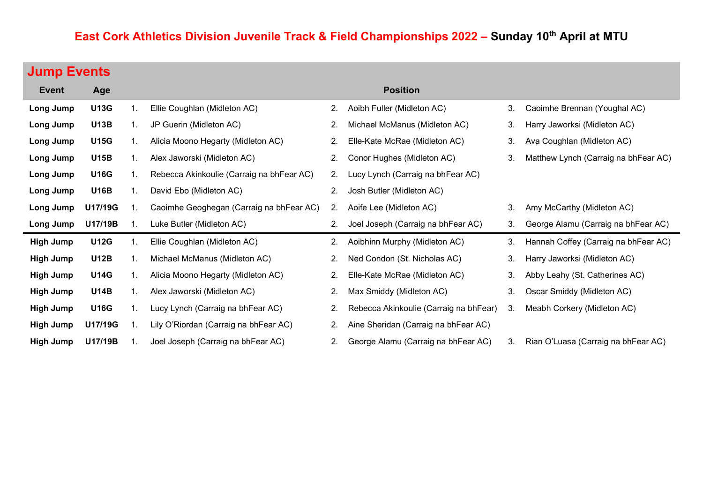# East Cork Athletics Division Juvenile Track & Field Championships 2022 - Sunday 10<sup>th</sup> April at MTU

# Jump Events

| <b>Event</b>     | Age         |    |                                           |    | <b>Position</b>                        |    |                                      |
|------------------|-------------|----|-------------------------------------------|----|----------------------------------------|----|--------------------------------------|
| Long Jump        | <b>U13G</b> | 1. | Ellie Coughlan (Midleton AC)              | 2. | Aoibh Fuller (Midleton AC)             | 3. | Caoimhe Brennan (Youghal AC)         |
| Long Jump        | <b>U13B</b> | 1. | JP Guerin (Midleton AC)                   | 2. | Michael McManus (Midleton AC)          | 3. | Harry Jaworksi (Midleton AC)         |
| Long Jump        | <b>U15G</b> | 1. | Alicia Moono Hegarty (Midleton AC)        | 2. | Elle-Kate McRae (Midleton AC)          | 3. | Ava Coughlan (Midleton AC)           |
| Long Jump        | <b>U15B</b> | 1. | Alex Jaworski (Midleton AC)               | 2. | Conor Hughes (Midleton AC)             | 3. | Matthew Lynch (Carraig na bhFear AC) |
| Long Jump        | <b>U16G</b> | 1. | Rebecca Akinkoulie (Carraig na bhFear AC) | 2. | Lucy Lynch (Carraig na bhFear AC)      |    |                                      |
| Long Jump        | <b>U16B</b> | 1. | David Ebo (Midleton AC)                   | 2. | Josh Butler (Midleton AC)              |    |                                      |
| Long Jump        | U17/19G     | 1. | Caoimhe Geoghegan (Carraig na bhFear AC)  | 2. | Aoife Lee (Midleton AC)                | 3. | Amy McCarthy (Midleton AC)           |
| Long Jump        | U17/19B     |    | Luke Butler (Midleton AC)                 | 2. | Joel Joseph (Carraig na bhFear AC)     | 3. | George Alamu (Carraig na bhFear AC)  |
| <b>High Jump</b> | <b>U12G</b> | 1. | Ellie Coughlan (Midleton AC)              | 2. | Aoibhinn Murphy (Midleton AC)          | 3. | Hannah Coffey (Carraig na bhFear AC) |
| <b>High Jump</b> | <b>U12B</b> | 1. | Michael McManus (Midleton AC)             | 2. | Ned Condon (St. Nicholas AC)           | 3. | Harry Jaworksi (Midleton AC)         |
| <b>High Jump</b> | <b>U14G</b> | 1. | Alicia Moono Hegarty (Midleton AC)        | 2. | Elle-Kate McRae (Midleton AC)          | 3. | Abby Leahy (St. Catherines AC)       |
| High Jump        | <b>U14B</b> | 1. | Alex Jaworski (Midleton AC)               | 2. | Max Smiddy (Midleton AC)               | 3. | Oscar Smiddy (Midleton AC)           |
| High Jump        | <b>U16G</b> | 1. | Lucy Lynch (Carraig na bhFear AC)         | 2. | Rebecca Akinkoulie (Carraig na bhFear) | 3. | Meabh Corkery (Midleton AC)          |
| <b>High Jump</b> | U17/19G     | 1. | Lily O'Riordan (Carraig na bhFear AC)     | 2. | Aine Sheridan (Carraig na bhFear AC)   |    |                                      |
| <b>High Jump</b> | U17/19B     |    | Joel Joseph (Carraig na bhFear AC)        | 2. | George Alamu (Carraig na bhFear AC)    | 3. | Rian O'Luasa (Carraig na bhFear AC)  |